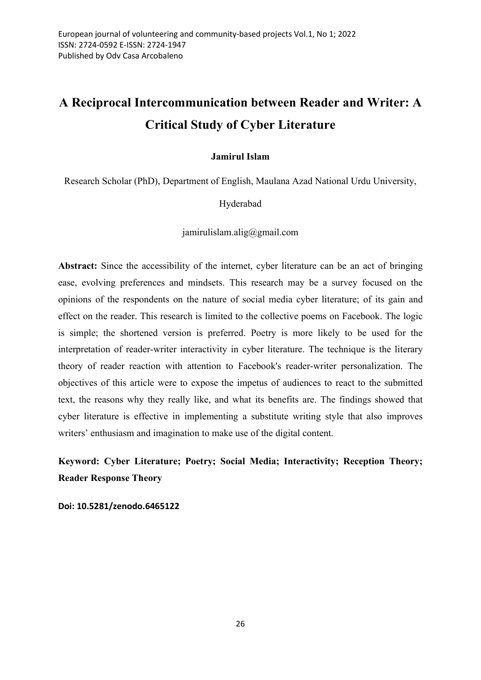# A Reciprocal Intercommunication between Reader and Writer: A Critical Study of Cyber Literature

# Jamirul Islam

Research Scholar (PhD), Department of English, Maulana Azad National Urdu University,

Hyderabad

jamirulislam.alig@gmail.com

Abstract: Since the accessibility of the internet, cyber literature can be an act of bringing ease, evolving preferences and mindsets. This research may be a survey focused on the opinions of the respondents on the nature of social media cyber literature; of its gain and effect on the reader. This research is limited to the collective poems on Facebook. The logic is simple; the shortened version is preferred. Poetry is more likely to be used for the interpretation of reader-writer interactivity in cyber literature. The technique is the literary theory of reader reaction with attention to Facebook's reader-writer personalization. The objectives of this article were to expose the impetus of audiences to react to the submitted text, the reasons why they really like, and what its benefits are. The findings showed that cyber literature is effective in implementing a substitute writing style that also improves writers' enthusiasm and imagination to make use of the digital content.

Keyword: Cyber Literature; Poetry; Social Media; Interactivity; Reception Theory; Reader Response Theory

Doi: 10.5281/zenodo.6465122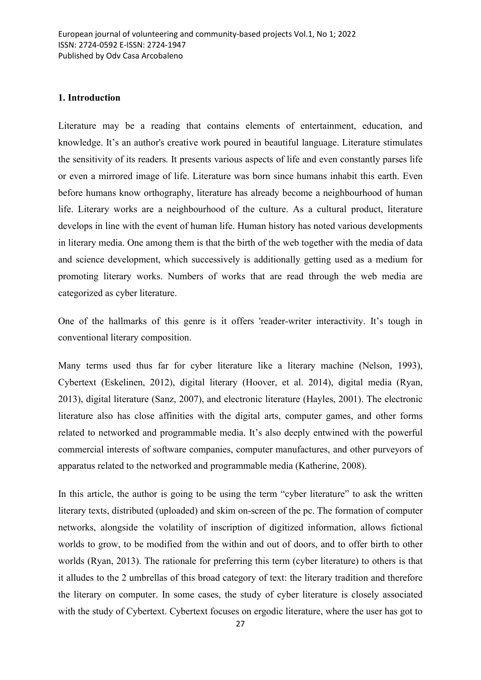#### 1. Introduction

Literature may be a reading that contains elements of entertainment, education, and knowledge. It's an author's creative work poured in beautiful language. Literature stimulates the sensitivity of its readers. It presents various aspects of life and even constantly parses life or even a mirrored image of life. Literature was born since humans inhabit this earth. Even before humans know orthography, literature has already become a neighbourhood of human life. Literary works are a neighbourhood of the culture. As a cultural product, literature develops in line with the event of human life. Human history has noted various developments in literary media. One among them is that the birth of the web together with the media of data and science development, which successively is additionally getting used as a medium for promoting literary works. Numbers of works that are read through the web media are categorized as cyber literature.

One of the hallmarks of this genre is it offers 'reader-writer interactivity. It's tough in conventional literary composition.

Many terms used thus far for cyber literature like a literary machine (Nelson, 1993), Cybertext (Eskelinen, 2012), digital literary (Hoover, et al. 2014), digital media (Ryan, 2013), digital literature (Sanz, 2007), and electronic literature (Hayles, 2001). The electronic literature also has close affinities with the digital arts, computer games, and other forms related to networked and programmable media. It's also deeply entwined with the powerful commercial interests of software companies, computer manufactures, and other purveyors of apparatus related to the networked and programmable media (Katherine, 2008).

In this article, the author is going to be using the term "cyber literature" to ask the written literary texts, distributed (uploaded) and skim on-screen of the pc. The formation of computer networks, alongside the volatility of inscription of digitized information, allows fictional worlds to grow, to be modified from the within and out of doors, and to offer birth to other worlds (Ryan, 2013). The rationale for preferring this term (cyber literature) to others is that it alludes to the 2 umbrellas of this broad category of text: the literary tradition and therefore the literary on computer. In some cases, the study of cyber literature is closely associated with the study of Cybertext. Cybertext focuses on ergodic literature, where the user has got to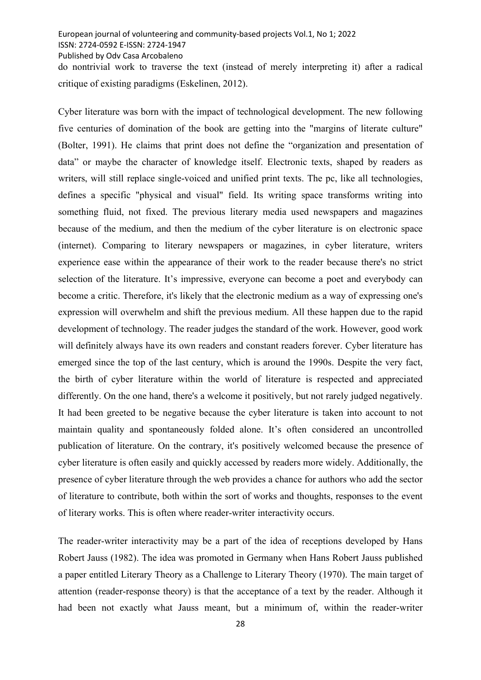Published by Odv Casa Arcobaleno

do nontrivial work to traverse the text (instead of merely interpreting it) after a radical critique of existing paradigms (Eskelinen, 2012).

Cyber literature was born with the impact of technological development. The new following five centuries of domination of the book are getting into the "margins of literate culture" (Bolter, 1991). He claims that print does not define the "organization and presentation of data" or maybe the character of knowledge itself. Electronic texts, shaped by readers as writers, will still replace single-voiced and unified print texts. The pc, like all technologies, defines a specific "physical and visual" field. Its writing space transforms writing into something fluid, not fixed. The previous literary media used newspapers and magazines because of the medium, and then the medium of the cyber literature is on electronic space (internet). Comparing to literary newspapers or magazines, in cyber literature, writers experience ease within the appearance of their work to the reader because there's no strict selection of the literature. It's impressive, everyone can become a poet and everybody can become a critic. Therefore, it's likely that the electronic medium as a way of expressing one's expression will overwhelm and shift the previous medium. All these happen due to the rapid development of technology. The reader judges the standard of the work. However, good work will definitely always have its own readers and constant readers forever. Cyber literature has emerged since the top of the last century, which is around the 1990s. Despite the very fact, the birth of cyber literature within the world of literature is respected and appreciated differently. On the one hand, there's a welcome it positively, but not rarely judged negatively. It had been greeted to be negative because the cyber literature is taken into account to not maintain quality and spontaneously folded alone. It's often considered an uncontrolled publication of literature. On the contrary, it's positively welcomed because the presence of cyber literature is often easily and quickly accessed by readers more widely. Additionally, the presence of cyber literature through the web provides a chance for authors who add the sector of literature to contribute, both within the sort of works and thoughts, responses to the event of literary works. This is often where reader-writer interactivity occurs.

The reader-writer interactivity may be a part of the idea of receptions developed by Hans Robert Jauss (1982). The idea was promoted in Germany when Hans Robert Jauss published a paper entitled Literary Theory as a Challenge to Literary Theory (1970). The main target of attention (reader-response theory) is that the acceptance of a text by the reader. Although it had been not exactly what Jauss meant, but a minimum of, within the reader-writer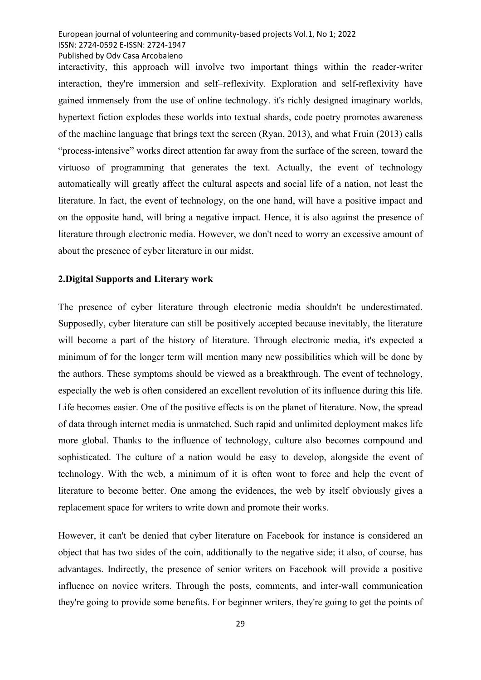Published by Odv Casa Arcobaleno

interactivity, this approach will involve two important things within the reader-writer interaction, they're immersion and self–reflexivity. Exploration and self-reflexivity have gained immensely from the use of online technology. it's richly designed imaginary worlds, hypertext fiction explodes these worlds into textual shards, code poetry promotes awareness of the machine language that brings text the screen (Ryan, 2013), and what Fruin (2013) calls "process-intensive" works direct attention far away from the surface of the screen, toward the virtuoso of programming that generates the text. Actually, the event of technology automatically will greatly affect the cultural aspects and social life of a nation, not least the literature. In fact, the event of technology, on the one hand, will have a positive impact and on the opposite hand, will bring a negative impact. Hence, it is also against the presence of literature through electronic media. However, we don't need to worry an excessive amount of about the presence of cyber literature in our midst.

## 2.Digital Supports and Literary work

The presence of cyber literature through electronic media shouldn't be underestimated. Supposedly, cyber literature can still be positively accepted because inevitably, the literature will become a part of the history of literature. Through electronic media, it's expected a minimum of for the longer term will mention many new possibilities which will be done by the authors. These symptoms should be viewed as a breakthrough. The event of technology, especially the web is often considered an excellent revolution of its influence during this life. Life becomes easier. One of the positive effects is on the planet of literature. Now, the spread of data through internet media is unmatched. Such rapid and unlimited deployment makes life more global. Thanks to the influence of technology, culture also becomes compound and sophisticated. The culture of a nation would be easy to develop, alongside the event of technology. With the web, a minimum of it is often wont to force and help the event of literature to become better. One among the evidences, the web by itself obviously gives a replacement space for writers to write down and promote their works.

However, it can't be denied that cyber literature on Facebook for instance is considered an object that has two sides of the coin, additionally to the negative side; it also, of course, has advantages. Indirectly, the presence of senior writers on Facebook will provide a positive influence on novice writers. Through the posts, comments, and inter-wall communication they're going to provide some benefits. For beginner writers, they're going to get the points of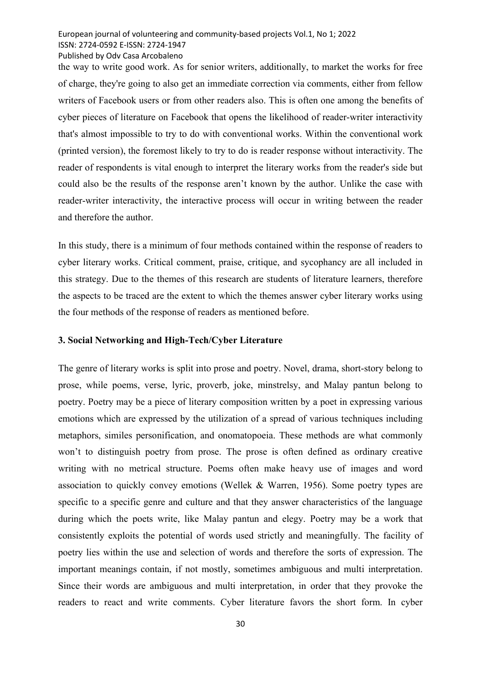Published by Odv Casa Arcobaleno

the way to write good work. As for senior writers, additionally, to market the works for free of charge, they're going to also get an immediate correction via comments, either from fellow writers of Facebook users or from other readers also. This is often one among the benefits of cyber pieces of literature on Facebook that opens the likelihood of reader-writer interactivity that's almost impossible to try to do with conventional works. Within the conventional work (printed version), the foremost likely to try to do is reader response without interactivity. The reader of respondents is vital enough to interpret the literary works from the reader's side but could also be the results of the response aren't known by the author. Unlike the case with reader-writer interactivity, the interactive process will occur in writing between the reader and therefore the author.

In this study, there is a minimum of four methods contained within the response of readers to cyber literary works. Critical comment, praise, critique, and sycophancy are all included in this strategy. Due to the themes of this research are students of literature learners, therefore the aspects to be traced are the extent to which the themes answer cyber literary works using the four methods of the response of readers as mentioned before.

## 3. Social Networking and High-Tech/Cyber Literature

The genre of literary works is split into prose and poetry. Novel, drama, short-story belong to prose, while poems, verse, lyric, proverb, joke, minstrelsy, and Malay pantun belong to poetry. Poetry may be a piece of literary composition written by a poet in expressing various emotions which are expressed by the utilization of a spread of various techniques including metaphors, similes personification, and onomatopoeia. These methods are what commonly won't to distinguish poetry from prose. The prose is often defined as ordinary creative writing with no metrical structure. Poems often make heavy use of images and word association to quickly convey emotions (Wellek & Warren, 1956). Some poetry types are specific to a specific genre and culture and that they answer characteristics of the language during which the poets write, like Malay pantun and elegy. Poetry may be a work that consistently exploits the potential of words used strictly and meaningfully. The facility of poetry lies within the use and selection of words and therefore the sorts of expression. The important meanings contain, if not mostly, sometimes ambiguous and multi interpretation. Since their words are ambiguous and multi interpretation, in order that they provoke the readers to react and write comments. Cyber literature favors the short form. In cyber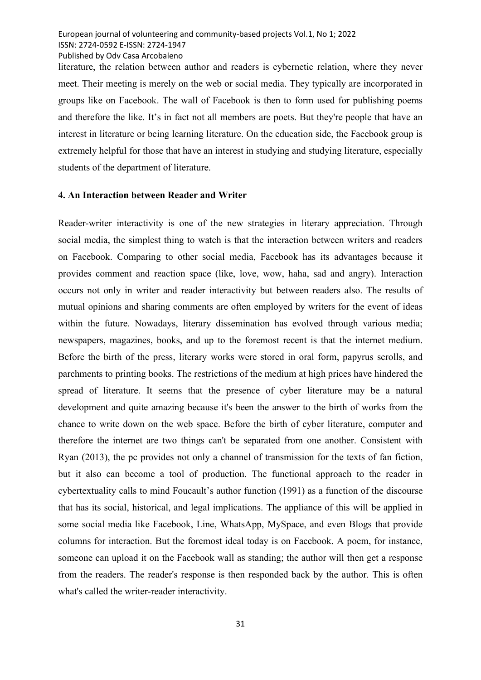European journal of volunteering and community-based projects Vol.1, No 1; 2022 ISSN: 2724-0592 E-ISSN: 2724-1947 Published by Odv Casa Arcobaleno

literature, the relation between author and readers is cybernetic relation, where they never meet. Their meeting is merely on the web or social media. They typically are incorporated in groups like on Facebook. The wall of Facebook is then to form used for publishing poems and therefore the like. It's in fact not all members are poets. But they're people that have an interest in literature or being learning literature. On the education side, the Facebook group is extremely helpful for those that have an interest in studying and studying literature, especially students of the department of literature.

#### 4. An Interaction between Reader and Writer

Reader-writer interactivity is one of the new strategies in literary appreciation. Through social media, the simplest thing to watch is that the interaction between writers and readers on Facebook. Comparing to other social media, Facebook has its advantages because it provides comment and reaction space (like, love, wow, haha, sad and angry). Interaction occurs not only in writer and reader interactivity but between readers also. The results of mutual opinions and sharing comments are often employed by writers for the event of ideas within the future. Nowadays, literary dissemination has evolved through various media; newspapers, magazines, books, and up to the foremost recent is that the internet medium. Before the birth of the press, literary works were stored in oral form, papyrus scrolls, and parchments to printing books. The restrictions of the medium at high prices have hindered the spread of literature. It seems that the presence of cyber literature may be a natural development and quite amazing because it's been the answer to the birth of works from the chance to write down on the web space. Before the birth of cyber literature, computer and therefore the internet are two things can't be separated from one another. Consistent with Ryan (2013), the pc provides not only a channel of transmission for the texts of fan fiction, but it also can become a tool of production. The functional approach to the reader in cybertextuality calls to mind Foucault's author function (1991) as a function of the discourse that has its social, historical, and legal implications. The appliance of this will be applied in some social media like Facebook, Line, WhatsApp, MySpace, and even Blogs that provide columns for interaction. But the foremost ideal today is on Facebook. A poem, for instance, someone can upload it on the Facebook wall as standing; the author will then get a response from the readers. The reader's response is then responded back by the author. This is often what's called the writer-reader interactivity.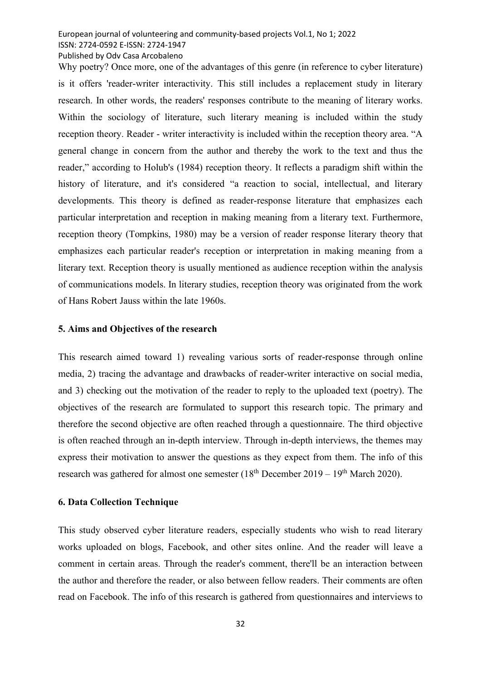Published by Odv Casa Arcobaleno

Why poetry? Once more, one of the advantages of this genre (in reference to cyber literature) is it offers 'reader-writer interactivity. This still includes a replacement study in literary research. In other words, the readers' responses contribute to the meaning of literary works. Within the sociology of literature, such literary meaning is included within the study reception theory. Reader - writer interactivity is included within the reception theory area. "A general change in concern from the author and thereby the work to the text and thus the reader," according to Holub's (1984) reception theory. It reflects a paradigm shift within the history of literature, and it's considered "a reaction to social, intellectual, and literary developments. This theory is defined as reader-response literature that emphasizes each particular interpretation and reception in making meaning from a literary text. Furthermore, reception theory (Tompkins, 1980) may be a version of reader response literary theory that emphasizes each particular reader's reception or interpretation in making meaning from a literary text. Reception theory is usually mentioned as audience reception within the analysis of communications models. In literary studies, reception theory was originated from the work of Hans Robert Jauss within the late 1960s.

#### 5. Aims and Objectives of the research

This research aimed toward 1) revealing various sorts of reader-response through online media, 2) tracing the advantage and drawbacks of reader-writer interactive on social media, and 3) checking out the motivation of the reader to reply to the uploaded text (poetry). The objectives of the research are formulated to support this research topic. The primary and therefore the second objective are often reached through a questionnaire. The third objective is often reached through an in-depth interview. Through in-depth interviews, the themes may express their motivation to answer the questions as they expect from them. The info of this research was gathered for almost one semester  $(18<sup>th</sup>$  December 2019 – 19<sup>th</sup> March 2020).

#### 6. Data Collection Technique

This study observed cyber literature readers, especially students who wish to read literary works uploaded on blogs, Facebook, and other sites online. And the reader will leave a comment in certain areas. Through the reader's comment, there'll be an interaction between the author and therefore the reader, or also between fellow readers. Their comments are often read on Facebook. The info of this research is gathered from questionnaires and interviews to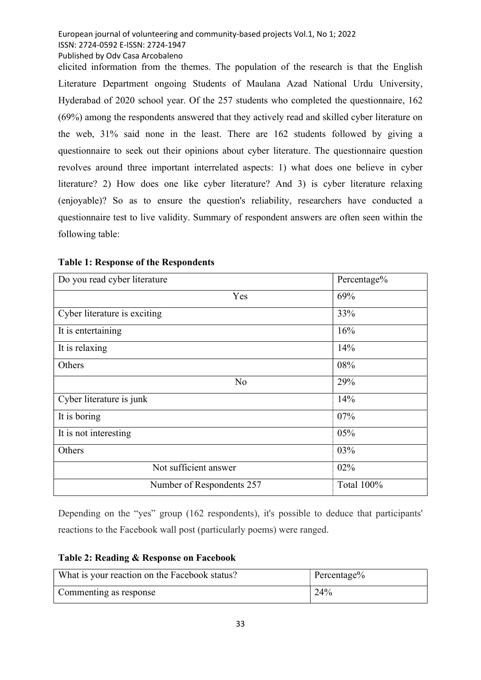Published by Odv Casa Arcobaleno

elicited information from the themes. The population of the research is that the English Literature Department ongoing Students of Maulana Azad National Urdu University, Hyderabad of 2020 school year. Of the 257 students who completed the questionnaire, 162 (69%) among the respondents answered that they actively read and skilled cyber literature on the web, 31% said none in the least. There are 162 students followed by giving a questionnaire to seek out their opinions about cyber literature. The questionnaire question revolves around three important interrelated aspects: 1) what does one believe in cyber literature? 2) How does one like cyber literature? And 3) is cyber literature relaxing (enjoyable)? So as to ensure the question's reliability, researchers have conducted a questionnaire test to live validity. Summary of respondent answers are often seen within the following table:

| Do you read cyber literature | Percentage% |
|------------------------------|-------------|
| Yes                          | 69%         |
| Cyber literature is exciting | 33%         |
| It is entertaining           | 16%         |
| It is relaxing               | 14%         |
| Others                       | 08%         |
| N <sub>o</sub>               | 29%         |
| Cyber literature is junk     | 14%         |
| It is boring                 | 07%         |
| It is not interesting        | 05%         |
| Others                       | 03%         |
| Not sufficient answer        | 02%         |
| Number of Respondents 257    | Total 100%  |

# Table 1: Response of the Respondents

Depending on the "yes" group (162 respondents), it's possible to deduce that participants' reactions to the Facebook wall post (particularly poems) were ranged.

## Table 2: Reading & Response on Facebook

| What is your reaction on the Facebook status? | Percentage% |
|-----------------------------------------------|-------------|
| Commenting as response                        | 24%         |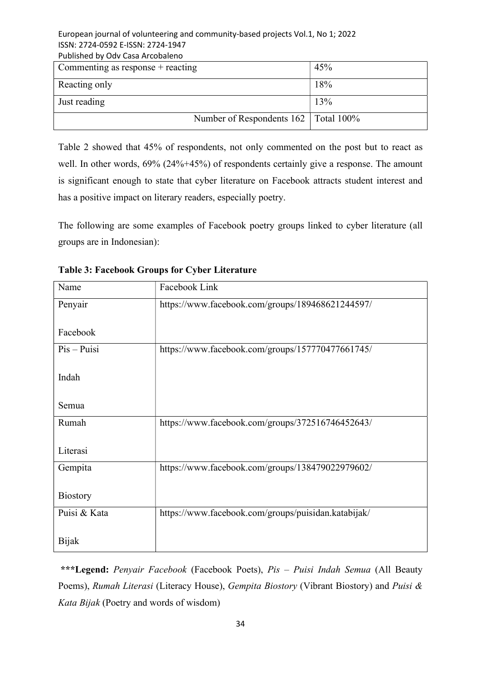### European journal of volunteering and community-based projects Vol.1, No 1; 2022 ISSN: 2724-0592 E-ISSN: 2724-1947 Published by Odv Casa Arcobaleno

| Commenting as $response + reacting$    | 45% |
|----------------------------------------|-----|
| Reacting only                          | 18% |
| Just reading                           | 13% |
| Number of Respondents 162   Total 100% |     |

Table 2 showed that 45% of respondents, not only commented on the post but to react as well. In other words,  $69\%$  (24%+45%) of respondents certainly give a response. The amount is significant enough to state that cyber literature on Facebook attracts student interest and has a positive impact on literary readers, especially poetry.

The following are some examples of Facebook poetry groups linked to cyber literature (all groups are in Indonesian):

| Name            | Facebook Link                                       |
|-----------------|-----------------------------------------------------|
| Penyair         | https://www.facebook.com/groups/189468621244597/    |
|                 |                                                     |
| Facebook        |                                                     |
| $Pis - Puisi$   | https://www.facebook.com/groups/157770477661745/    |
|                 |                                                     |
| Indah           |                                                     |
| Semua           |                                                     |
|                 |                                                     |
| Rumah           | https://www.facebook.com/groups/372516746452643/    |
|                 |                                                     |
| Literasi        |                                                     |
| Gempita         | https://www.facebook.com/groups/138479022979602/    |
|                 |                                                     |
| <b>Biostory</b> |                                                     |
| Puisi & Kata    | https://www.facebook.com/groups/puisidan.katabijak/ |
|                 |                                                     |
| <b>Bijak</b>    |                                                     |

Table 3: Facebook Groups for Cyber Literature

\*\*\*Legend: Penyair Facebook (Facebook Poets), Pis - Puisi Indah Semua (All Beauty Poems), Rumah Literasi (Literacy House), Gempita Biostory (Vibrant Biostory) and Puisi & Kata Bijak (Poetry and words of wisdom)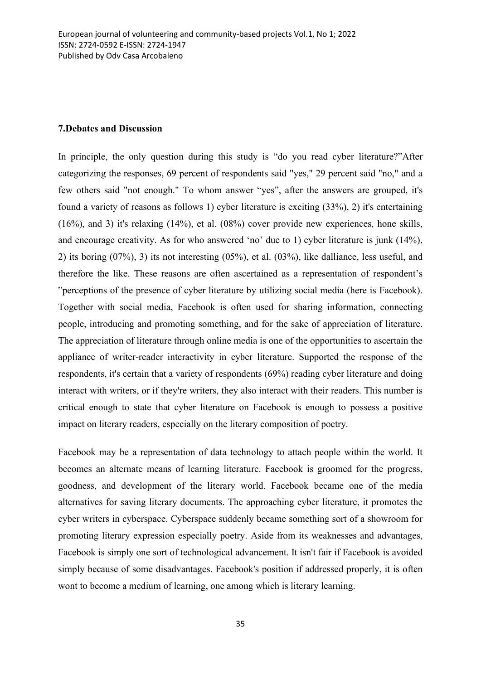#### 7.Debates and Discussion

In principle, the only question during this study is "do you read cyber literature?"After categorizing the responses, 69 percent of respondents said "yes," 29 percent said "no," and a few others said "not enough." To whom answer "yes", after the answers are grouped, it's found a variety of reasons as follows 1) cyber literature is exciting (33%), 2) it's entertaining (16%), and 3) it's relaxing (14%), et al. (08%) cover provide new experiences, hone skills, and encourage creativity. As for who answered 'no' due to 1) cyber literature is junk (14%), 2) its boring (07%), 3) its not interesting (05%), et al. (03%), like dalliance, less useful, and therefore the like. These reasons are often ascertained as a representation of respondent's "perceptions of the presence of cyber literature by utilizing social media (here is Facebook). Together with social media, Facebook is often used for sharing information, connecting people, introducing and promoting something, and for the sake of appreciation of literature. The appreciation of literature through online media is one of the opportunities to ascertain the appliance of writer-reader interactivity in cyber literature. Supported the response of the respondents, it's certain that a variety of respondents (69%) reading cyber literature and doing interact with writers, or if they're writers, they also interact with their readers. This number is critical enough to state that cyber literature on Facebook is enough to possess a positive impact on literary readers, especially on the literary composition of poetry.

Facebook may be a representation of data technology to attach people within the world. It becomes an alternate means of learning literature. Facebook is groomed for the progress, goodness, and development of the literary world. Facebook became one of the media alternatives for saving literary documents. The approaching cyber literature, it promotes the cyber writers in cyberspace. Cyberspace suddenly became something sort of a showroom for promoting literary expression especially poetry. Aside from its weaknesses and advantages, Facebook is simply one sort of technological advancement. It isn't fair if Facebook is avoided simply because of some disadvantages. Facebook's position if addressed properly, it is often wont to become a medium of learning, one among which is literary learning.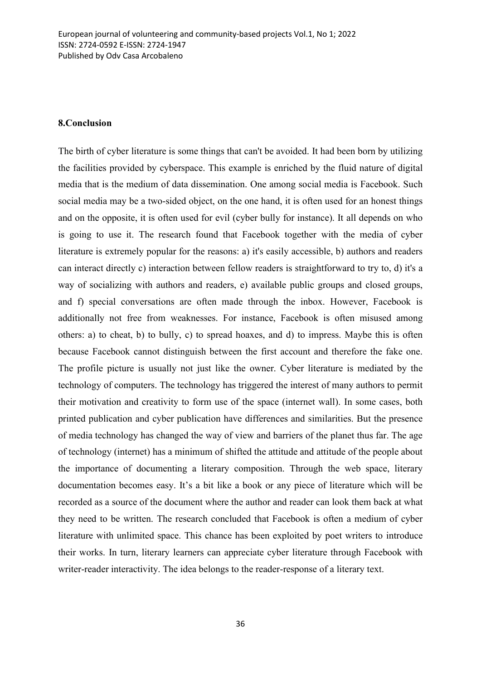#### 8.Conclusion

The birth of cyber literature is some things that can't be avoided. It had been born by utilizing the facilities provided by cyberspace. This example is enriched by the fluid nature of digital media that is the medium of data dissemination. One among social media is Facebook. Such social media may be a two-sided object, on the one hand, it is often used for an honest things and on the opposite, it is often used for evil (cyber bully for instance). It all depends on who is going to use it. The research found that Facebook together with the media of cyber literature is extremely popular for the reasons: a) it's easily accessible, b) authors and readers can interact directly c) interaction between fellow readers is straightforward to try to, d) it's a way of socializing with authors and readers, e) available public groups and closed groups, and f) special conversations are often made through the inbox. However, Facebook is additionally not free from weaknesses. For instance, Facebook is often misused among others: a) to cheat, b) to bully, c) to spread hoaxes, and d) to impress. Maybe this is often because Facebook cannot distinguish between the first account and therefore the fake one. The profile picture is usually not just like the owner. Cyber literature is mediated by the technology of computers. The technology has triggered the interest of many authors to permit their motivation and creativity to form use of the space (internet wall). In some cases, both printed publication and cyber publication have differences and similarities. But the presence of media technology has changed the way of view and barriers of the planet thus far. The age of technology (internet) has a minimum of shifted the attitude and attitude of the people about the importance of documenting a literary composition. Through the web space, literary documentation becomes easy. It's a bit like a book or any piece of literature which will be recorded as a source of the document where the author and reader can look them back at what they need to be written. The research concluded that Facebook is often a medium of cyber literature with unlimited space. This chance has been exploited by poet writers to introduce their works. In turn, literary learners can appreciate cyber literature through Facebook with writer-reader interactivity. The idea belongs to the reader-response of a literary text.